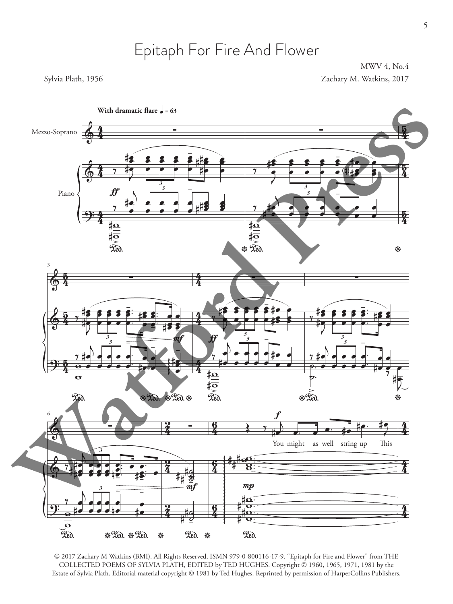# Epitaph For Fire And Flower

MWV 4, No.4 Sylvia Plath, 1956 Zachary M. Watkins, 2017





© 2017 Zachary M Watkins (BMI). All Rights Reserved. ISMN 979-0-800116-17-9. "Epitaph for Fire and Flower" from THE COLLECTED POEMS OF SYLVIA PLATH, EDITED by TED HUGHES. Copyright © 1960, 1965, 1971, 1981 by the Estate of Sylvia Plath. Editorial material copyright © 1981 by Ted Hughes. Reprinted by permission of HarperCollins Publishers.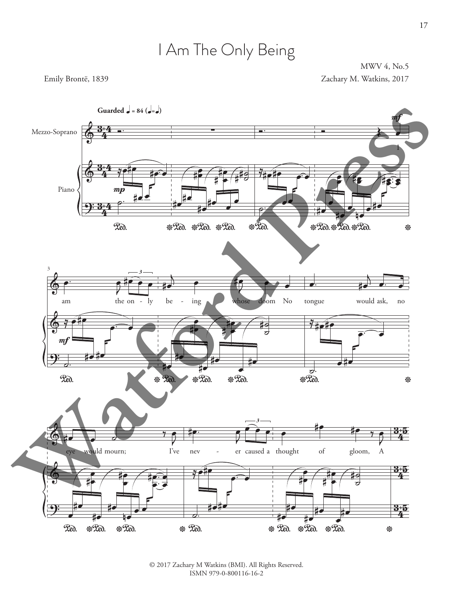# I Am The Only Being

MWV 4, No.5 Emily Brontë, 1839 Zachary M. Watkins, 2017

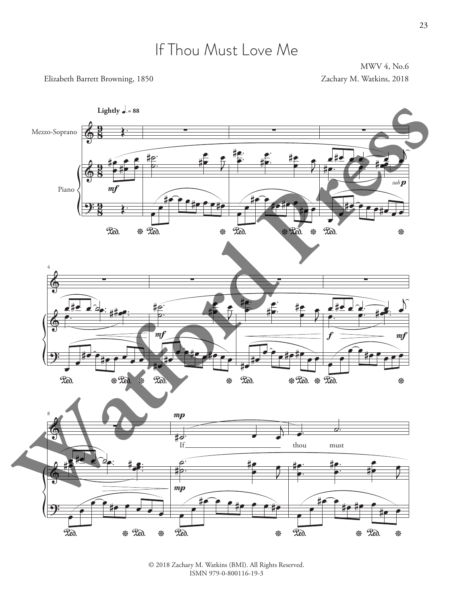### If Thou Must Love Me

MWV 4, No.6

Elizabeth Barrett Browning, 1850 **Zachary M. Watkins, 2018** Zachary M. Watkins, 2018



<sup>© 2018</sup> Zachary M. Watkins (BMI). All Rights Reserved. ISMN 979-0-800116-19-3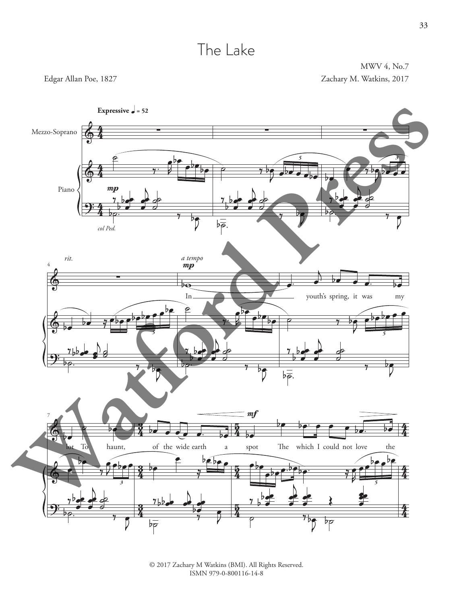### The Lake

MWV 4, No.7 Edgar Allan Poe, 1827 Zachary M. Watkins, 2017

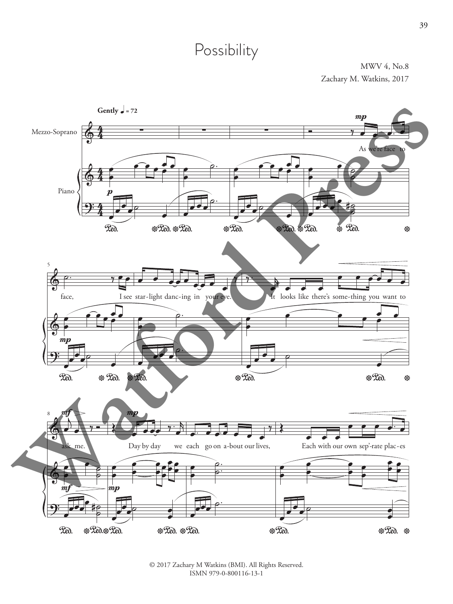# Possibility

MWV 4, No.8 Zachary M. Watkins, 2017

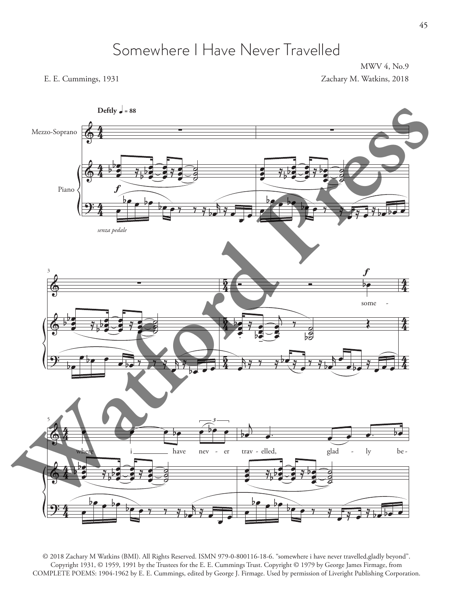### Somewhere I Have Never Travelled

MWV 4, No.9 E. E. Cummings, 1931 Zachary M. Watkins, 2018



© 2018 Zachary M Watkins (BMI). All Rights Reserved. ISMN 979-0-800116-18-6. "somewhere i have never travelled,gladly beyond". Copyright 1931, © 1959, 1991 by the Trustees for the E. E. Cummings Trust. Copyright © 1979 by George James Firmage, from COMPLETE POEMS: 1904-1962 by E. E. Cummings, edited by George J. Firmage. Used by permission of Liveright Publishing Corporation.